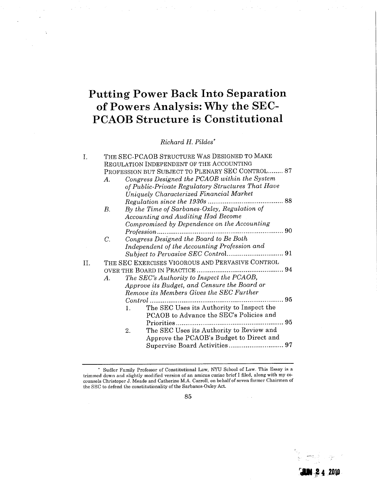## Putting Power Back Into Separation of Powers Analysis: Why the SEC-PCAOB Structure is Constitutional

Richard H. Pildes\*

| I.  | THE SEC-PCAOB STRUCTURE WAS DESIGNED TO MAKE     |                                                   |  |  |
|-----|--------------------------------------------------|---------------------------------------------------|--|--|
|     | REGULATION INDEPENDENT OF THE ACCOUNTING         |                                                   |  |  |
|     | PROFESSION BUT SUBJECT TO PLENARY SEC CONTROL 87 |                                                   |  |  |
|     | А.                                               | Congress Designed the PCAOB within the System     |  |  |
|     |                                                  | of Public-Private Regulatory Structures That Have |  |  |
|     |                                                  | Uniquely Characterized Financial Market           |  |  |
|     |                                                  |                                                   |  |  |
|     | В.                                               | By the Time of Sarbanes-Oxley, Regulation of      |  |  |
|     |                                                  | Accounting and Auditing Had Become                |  |  |
|     |                                                  | Compromised by Dependence on the Accounting       |  |  |
|     |                                                  | Profession                                        |  |  |
|     | С.                                               | Congress Designed the Board to Be Both            |  |  |
|     |                                                  | Independent of the Accounting Profession and      |  |  |
|     |                                                  |                                                   |  |  |
| TT. | THE SEC EXERCISES VIGOROUS AND PERVASIVE CONTROL |                                                   |  |  |
|     |                                                  |                                                   |  |  |
|     | Α.                                               | The SEC's Authority to Inspect the PCAOB,         |  |  |
|     |                                                  | Approve its Budget, and Censure the Board or      |  |  |
|     |                                                  | Remove its Members Gives the SEC Further          |  |  |
|     |                                                  | 95<br>$Control$<br>                               |  |  |
|     |                                                  | The SEC Uses its Authority to Inspect the<br>1.   |  |  |
|     |                                                  | PCAOB to Advance the SEC's Policies and           |  |  |
|     |                                                  |                                                   |  |  |
|     |                                                  | The SEC Uses its Authority to Review and<br>2.    |  |  |
|     |                                                  | Approve the PCAOB's Budget to Direct and          |  |  |
|     |                                                  |                                                   |  |  |
|     |                                                  |                                                   |  |  |

 $\sim$   $\sim$ 

r.-J4.ZDio

.'J'

<sup>\*</sup> Sudler Family Professor of Constitutional Law, NYU School of Law. This Essay is a trimmed down and slightly modified version of an amicus curiae brief I filed, along with my cocounsels Christoper J. Meade and Catherine M.A. Carroll, on behalf of seven former Chairmen of the SEC to defend the constitutionality of the Sarbanes-Oxley Act.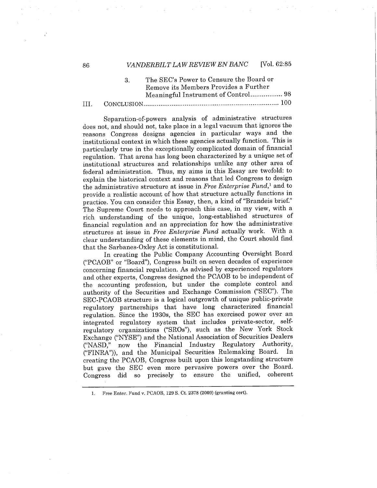#### 86 VANDERBILT LAW REVIEW EN BANC [Vol. 62:85

|  | -92 - | The SEC's Power to Censure the Board or<br>Remove its Members Provides a Further |
|--|-------|----------------------------------------------------------------------------------|
|  |       |                                                                                  |
|  |       |                                                                                  |

Separation-of-powers analysis of administrative structures does not, and should not, take place in a legal vacuum that ignores the reasons Congress designs agencies in particular ways and the institutional context in which these agencies actually function. This is particularly true in the exceptionally complicated domain of financial regulation. That arena has long been characterized by a unique set of institutional structures and relationships unlike any other area of federal administration. Thus, my aims in this Essay are twofold: to explain the historical context and reasons that led Congress to design the administrative structure at issue in Free Enterprise Fund,<sup>1</sup> and to provide a realistic account of how that structure actually functions in practice. You can consider this Essay, then, a kind of "Brandeis brief." The Supreme Court needs to approach this case, in my view, with a rich understanding of the unique, long-established structures of financial regulation and an appreciation for how the administrative structures at issue in Free Enterprise Fund actually work. With a clear understanding of these elements in mind, the Court should find that the Sarbanes-Oxley Act is constitutionaL.

In creating the Public Company Accounting Oversight Board ("PCAOB" or "Board"), Congress built on seven decades of experience concerning financial regulation. As advised by experienced regulators and other experts, Congress designed the PCAOB to be independent of the accounting profession, but under the complete control and authority of the Securities and Exchange Commission ("SEC"). The SEC-PCAOB structure is a logical outgrowth of unique public-private regulatory partnerships that have long characterized financial regulation. Since the 1930s, the SEC has exercised power over an integrated regulatory system that includes private-sector, selfregulatory organizations ("SROs"), such as the New York Stock Exchange ("NYSE") and the National Association of Securities Dealers ("NASD," now the Financial Industry Regulatory Authority, ("FINRA")), and the Municipal Securities Rulemaking Board. In creating the PCAOB, Congress built upon this longstanding structure but gave the SEC even more pervasive powers over the Board. Congress did so precisely to ensure the unified, coherent

1. Free Enter. Fund v. PCAOB, 129 S. Ct. 2378 (2009) (granting cert).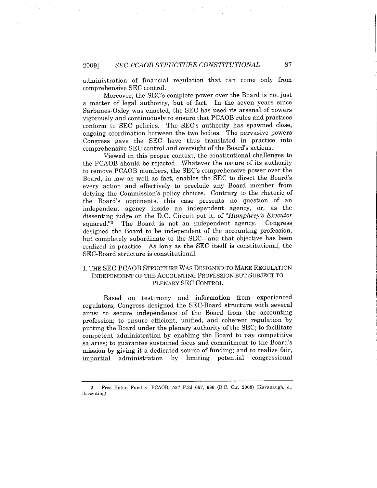administration of financial regulation that can come only from comprehensive SEC control.

Moreover, the SEC's complete power over the Board is not just a matter of legal authority, but of fact. In the seven years since Sarbanes-Oxley was enacted, the SEC has used its arsenal of powers vigorously and continuously to ensure that PCAOB rules and practices conform to SEC policies. The SEC's authority has spawned close, ongoing coordination between the two bodies. The pervasive powers Congress gave the SEC have thus translated in practice into comprehensive SEC control and oversight of the Board's actions.

Viewed in this proper context, the constitutional challenges to the PCAOB should be rejected. Whatever the nature of its authority to remove PCAOB members, the SEC's comprehensive power over the Board, in law as well as fact, enables the SEC to direct the Board's every action and effectively to preclude any Board member from defYing the Commission's policy choices. Contrary to the rhetoric of the Board's opponents, this case presents no question of an independent agency inside an independent agency, or, as the dissenting judge on the D.C. Circuit put it, of "Humphrey's Executor squared."2 The Board is not an independent agency. Congress designed the Board to be independent of the accounting profession, but completely subordinate to the SEC-and that objective has been realized in practice. As long as the SEC itself is constitutional, the SEC-Board structure is constitutional.

#### i. THE SEC-PCAOB STRUCTURE WAS DESIGNED TO MAKE REGULATION INDEPENDENT OF THE ACCOUNTING PROFESSION BUT SUBJECT TO PLENARY SEC CONTROL

Based on testimony and information from experienced regulators, Congress designed the SEC-Board structure with several aims: to secure independence of the Board from the accounting profession; to ensure efficient, unified, and coherent regulation by putting the Board under the plenary authority of the SEC; to facilitate competent administration by enabling the Board to pay competitive salaries; to guarantee sustained focus and commitment to the Board's mission by giving it a dedicated source of funding; and to realize fair, impartial administration by limiting potential congressional

<sup>2.</sup> Free Enter. Fund v. PCAOB, 537 F.3d 667, 686 (D.C. Cir. 2008) (Kavanaugh, J., dissenting).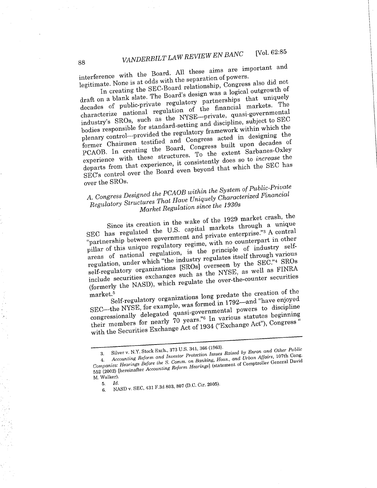interference with the Board. The separation of powers.

legitimate. None is at odds with the separation of powers.<br>In creating the SEC-Board relationship, Congress also did not In creating the SEC-Board relationship, a logical outgrowth of draft on a blank slate. The Board's design was a logical order when  $\frac{m}{n}$ decades of public-private regulatory partnerships that uniquely characterize national regulation of the financial markets. The industry's SROs, such as the NYSE-private, quasi-governmental bodies responsible for standard-setting and discipline, subject to SEC plenary control-provided the regulatory framework within which the former Chairmen testified and Congress acted in designing the PCAOB. In creating the Board, Congress built upon decades of experience with these structures. To the extent Sarbanes-Oxley departs from that experience, it consistently does so to *increase* the SEC's control over the Board even beyond that which the SEC has over the SROs.

# A. Congress Designed the PCAOB within the System of Public-Private Regulatory Structures That Have Uniquely Characterized Financial

Market Regulation since the 1930s<br>Since its creation in the wake of the 1929 market crash, the Since its creation in the wake of  $T_{\text{max}}$  the 11 S capital markets through a unique SEC has regulated the U.S. capital private enterprise.<sup>73</sup> A central "partnership between government and private enterprise."3 A central pilar of this unique regulatory regime, with no counterpart in other areas of national regulation, is the principle of industry selfregulation, under which "the industry regulates itself through various self-regulatory organizations (SROs) overseen by the SEC."4 SROs include securities exchanges such as the NYSE, as well as FINRA (formerly the NASD), which regulate the over-the-counter securities

market.5 Self-regulatory organizations long predate the creation of the SEC—the NYSE, for example, was formed in 1792—and "have enjoyed congressionally delegated quasi-governmental powers to discipline their members for nearly 70 years."<sup>6</sup> In various statutes beginning congressionally delegated quasi-governmental powers to discipline their members for nearly 70 years.  $\frac{1}{1934}$  ("Exchange Act"), Congress with the Securities Exchange  $\sim$ 

<sup>3.</sup> Silver v.  $1$ . Stock Exchanger Protection Issues 4. Accounting Reform and  $\sum_{i=1}^{\infty}$  Protection Banking, Hous, and Other Plus General David  $Comparies: Hearings$   $\frac{S}{S}$   $\frac{S}{S}$   $\frac{S}{S}$   $\frac{S}{S}$   $\frac{S}{S}$   $\frac{S}{S}$   $\frac{S}{S}$   $\frac{S}{S}$   $\frac{S}{S}$   $\frac{S}{S}$   $\frac{S}{S}$   $\frac{S}{S}$   $\frac{S}{S}$   $\frac{S}{S}$   $\frac{S}{S}$   $\frac{S}{S}$   $\frac{S}{S}$   $\frac{S}{S}$   $\frac{S}{S}$   $\frac{S}{S}$   $\frac{S}{S}$   $\$ 552 (2002) (hereinafter Accounting Reform Hearings) (statement of Comptroller General David

M. Walker).

<sup>5.</sup> Id.

<sup>6.</sup> NASD v. SEC, 431 F.3d 803,807 (D.C. Cir. 2005).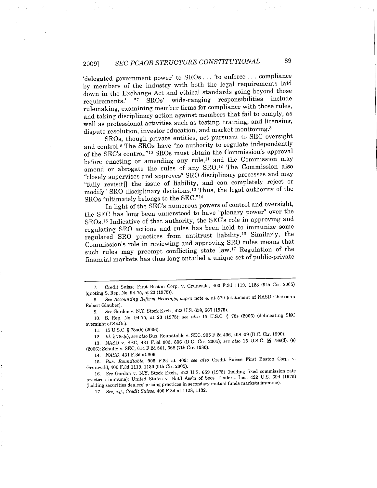### 2009) SEC-PCAOB STRUCTURE CONSTITUTIONAL <sup>89</sup>

'delegated government power' to SROs . . . 'to enforce. . . compliance by members of the industry with both the legal requirements laid down in the Exchange Act and ethical standards going beyond those requirements.' "7 SROs' wide-ranging responsibilities include rulemaking, examining member firms for compliance with those rules, and taking disciplinary action against members that fail to comply, as well as professional activities such as testing, training, and licensing, dispute resolution, investor education, and market monitoring.<sup>8</sup>

SROs, though private entities, act pursuant to SEC oversight and control.9 The SROs have "no authority to regulate independently of the SEC's control."<sup>10</sup> SROs must obtain the Commission's approval before enacting or amending any rule, $^{11}$  and the Commission may amend or abrogate the rules of any SRO.<sup>12</sup> The Commission also "closely supervises and approves" SRO disciplinary processes and may "fully revisit<sup>[]</sup> the issue of liability, and can completely reject or modifY" SRO disciplinary decisions,13 Thus, the legal authority of the SROs "ultimately belongs to the SEC."14

In light of the SEC's numerous powers of control and oversight, the SEC has long been understood to have "plenary power" over the SROs,15 Indicative of that authority, the SEC's role in approving and regulating SRO actions and rules has been held to immunize some regulated SRO practices from antitrust liability. 16 Similarly, the Commission's role in reviewing and approving SRO rules means that such rules may preempt conflicting state law.<sup>17</sup> Regulation of the financial markets has thus long entailed a unique set of public-private

12. Id. § 78s(c); see also Bus. Roundtable v. SEC, 905 F.2d 406, 408-09 (D.C. Cir. 1990).

13. NASD v. SEC, 431 F.3d 803, 806 (D.C. Cir. 2005); see also 15 U.S.C. §§ 78s(d), (e) (2006); Schultz v. SEC, 614 F.2d 561, 568 (7th Cir. 1980).

14. NASD, 431 F.3d at 806.

15. Bus. Roundtable, 905 F.2d at 409; see also Credit Suisse First Boston Corp. v. Grunwald, 400 F.3d 1119, 1130 (9th Cir. 2005).

16. See Gordon v. N.Y. Stock Exch., 422 U.S. 659 (1975) (holding fixed commission rate practices immune); United States v. Natl Ass'n of Secs. Dealers, Inc., 422 U.S. 694 (1975) (holding securities dealers' pricing practices in secondary mutual funds markets immune).

17. See, e.g., Credit Suisse, 400 F.3d at 1128,1132.

<sup>7.</sup> Credit Suisse First Boston Corp. v. Grunwald, 400 F.3d 1119, 1128 (9th Cir. 2005) (quoting S. Rep. No. 94.75, at 23 (1975)).

<sup>8.</sup> See Accounting Reform Hearings, supra note 4, at 570 (statement of NASD Chairman Robert Glauber).

<sup>9.</sup> See Gordon v. NY. Stock Exch., 422 U.S. 659, 667 (1975).

<sup>10.</sup> S. Rep. No. 94-75, at 23 (1975); see also 15 U.S.C. § 78s (2006) (delineating SEC oversight of SROs).

<sup>11. 15</sup> U.s.C. § 78s(b) (2006).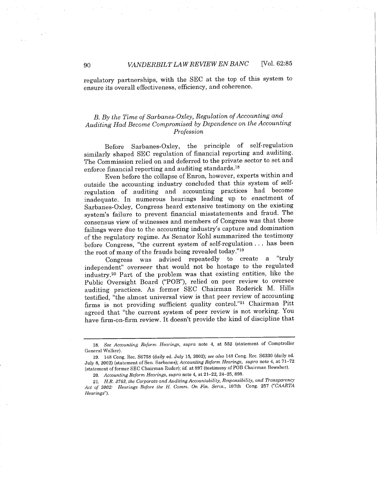regulatory partnerships, with the SEC at the top of this system to ensure its overall effectiveness, efficiency, and coherence.

#### B. By the Time of Sarbanes-Oxley, Regulation of Accounting and Auditing Had Become Compromised by Dependence on the Accounting Profession

Before Sarbanes-Oxley, the principle of self-regulation similarly shaped SEC regulation of financial reporting and auditing. The Commission relied on and deferred to the private sector to set and enforce financial reporting and auditing standards.<sup>18</sup>

Even before the collapse of Enron, however, experts within and outside the accounting industry concluded that this system of selfregulation of auditing and accounting practices had become inadequate. In numerous hearings leading up to enactment of Sarbanes-Oxley, Congress heard extensive testimony on the existing system's failure to prevent financial misstatements and fraud. The consensus view of witnesses and members of Congress was that these failings were due to the accounting industry's capture and domination of the regulatory regime. As Senator Kohl summarized the testimony before Congress, "the current system of self-regulation. . . has been the root of many of the frauds being revealed today."19

Congress was advised repeatedly to create a "truly independent" overseer that would not be hostage to the regulated industry.2o Part of the problem was that existing entities, like the Public Oversight Board ("POB"), relied on peer review to oversee auditing practices. As former SEC Chairman Roderick M. Hils testified, "the almost universal view is that peer review of accounting firms is not providing sufficient quality control."21 Chairman Pitt agreed that "the current system of peer review is not working. You have firm-on-firm review. It doesn't provide the kind of discipline that

<sup>18.</sup> See Accounting Reform Hearings, supra note 4, at 552 (statement of Comptroller General Walker).

<sup>19. 148</sup> Cong. Rec. S6758 (daily ed. July 15, 2002); see also 148 Cong. Rec. S6330 (daily ed. July 8, 2002) (statement of Sen. Sarbanes); Accounting Reform Hearings, supra note 4, at 71-72 (statement of former SEC Chairman Ruder); id. at 897 (testimony of POB Chairman Bowsher).

<sup>20.</sup> Accounting Reform Hearings, supra note 4, at 21-22, 24-25, 898.

<sup>21.</sup> H.R. 3763, the Corporate and Auditing Accountability. Responsibility. and Transparency Act of 2002: Hearings Before the H. Comm. On Fin. Servs., 107th Cong. 257 ("CAARTA Hearings").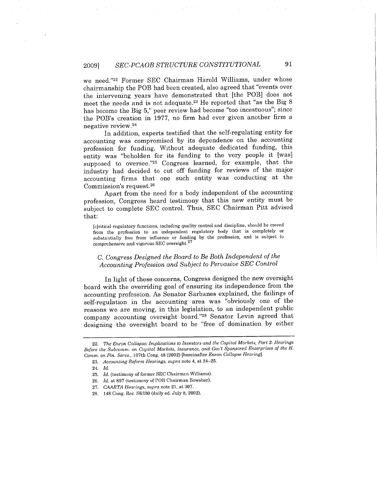#### 2009] SEC-PCAOB STRUCTURE CONSTITUTIONAL 91

we need."22 Former SEC Chairman Harold Wiliams, under whose chairmanship the POB had been created, also agreed that "events over the intervening years have demonstrated that (the POB) does not meet the needs and is not adequate.23 He reported that "as the Big 8 has become the Big 5," peer review had become "too incestuous"; since the POB's creation in 1977, no firm had ever given another firm a negative review. 24

In addition, experts testified that the self-regulating entity for accounting was compromised by its dependence on the accounting profession for funding. Without adequate dedicated funding, this entity was "beholden for its funding to the very people it (was) supposed to oversee."25 Congress learned, for example, that the industry had decided to cut off funding for reviews of the major accounting firms that one such entity was conducting at the Commission's request.26

Apart from the need for a body independent of the accounting profession, Congress heard testimony that this new entity must be subject to complete SEC control. Thus, SEC Chairman Pitt advised that:

(c)ritical regulatory functions, including quality control and discipline, should be moved from the profession to an independent regulatory body that is completely or substantially free from influence or funding by the profession, and is subject to comprehensive and vigorous SEC oversight. 27

#### C. Congress Designed the Board to Be Both Independent of the Accounting Profession and Subject to Pervasive SEC Control

In light of these concerns, Congress designed the new oversight board with the overriding goal of ensuring its independence from the accounting profession. As Senator Sarbanes explained, the failings of self-regulation in the accounting area was "obviously one of the reasons we are moving, in this legislation, to an independent public company accounting oversight board."2s Senator Levin agreed that designing the oversight board to be "free of domination by either

<sup>22.</sup> The Enron Collapse: Implications to Investors and the Capital Markets, Part 2: Hearings Before the Subcomm. on Capital Markets. Insurance. and Gov't Sponsored Enterprises of the H. Comm. on Fin. Servs., 107th Cong. 48 (2002) [hereinafter Enron Collapse Hearing].

<sup>23.</sup> Accounting Reform Hearings, supra note 4, at 24-25.

<sup>24.</sup> Id.

<sup>25.</sup> Id. (testimony of former SEC Chairman Williams).

<sup>26.</sup> Id. at 897 (testimony of POB Chairman Bowsher).

<sup>27.</sup> CAARTA Hearings, supra note 21, at 307.

<sup>28. 148</sup> Cong. Rec. S6330 (daily ed. July 8, 2002).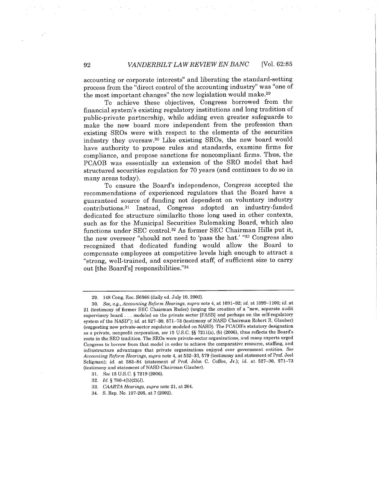accounting or corporate interests" and liberating the standard-setting process from the "direct control of the accounting industry" was "one of the most important changes" the new legislation would make.29

To achieve these objectives, Congress borrowed from the financial system's existing regulatory institutions and long tradition of public-private partnership, while adding even greater safeguards to make the new board more independent from the profession than existing SROs were with respect to the elements of the securities industry they oversaw,30 Like existing SROs, the new board would have authority to propose rules and standards, examine firms for compliance, and propose sanctions for noncompliant firms. Thus, the PCAOB was essentially an extension of the SRO model that had structured securities regulation for 70 years (and continues to do so in many areas today).

To ensure the Board's independence, Congress accepted the recommendations of experienced regulators that the Board have a guaranteed source of funding not dependent on voluntary industry contributions.31 Instead, Congress adopted an industry-funded dedicated fee structure similarlto those long used in other contexts, such as for the Municipal Securities Rulemaking Board, which also functions under SEC control.32 As former SEC Chairman Hils put it, the new overseer "should not need to 'pass the hat.' "33 Congress also recognized that dedicated funding would allow the Board to compensate employees at competitive levels high enough to attract a "strong, well-trained, and experienced staff, of sufficient size to carry out (the Board's) responsibilities."34

<sup>29. 148</sup> Cong. Rec. S6566 (daily ed. July 10, 2002).

<sup>30.</sup> See, e.g., Accounting Reform Hearings, supra note 4, at 1091-92; id. at 1099-1100; id. at 21 (testimony of former SEC Chairman Ruder) (urging the creation of a "new, separate audit supervisory board. . . modeled on the private sector (FASB) and perhaps on the self-regulatory system of the NASD"); id. at 527-30, 571-73 (testimony of NASD Chairman Robert R. Glauber) (suggesting new private-sector regulator modeled on NASD). The PCAOB's statutory designation as a private, nonprofit corporation, see 15 U.S.C. §§ 7211(a), (b) (2006), thus reflects the Board's roots in the SRO tradition. The SROs were private-sector organizations, and many experts urged Congress to borrow from that model in order to achieve the comparative resource, staffing, and infrastructure advantages that private organizations enjoyed over government entities. See Accounting Reform Hearings, supra note 4, at 532-33, 579 (testimony and statement of Prof. Joel Seligman); id. at 583-84 (statement of Prof. John C. Coffee, Jr.); id. at 527-30, 571-73 (testimony and statement of NASD Chairman Glauber).

<sup>31.</sup> See 15 U.S.C. § 7219 (2006).

<sup>32.</sup> Id. § 780-4(b)(2)(J).

<sup>33.</sup> CAARTA Hearings, supra note 21, at 264.

<sup>34.</sup> S. Rep. No. 107.205. at 7 (2002).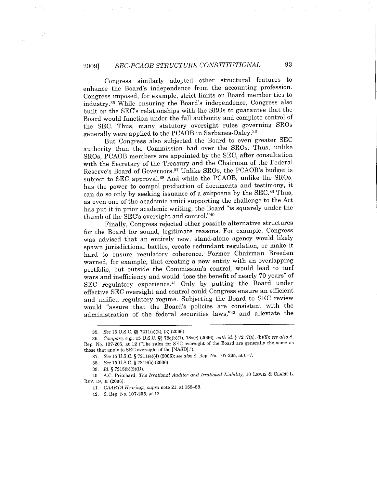#### 2009) SEC.PCAOB STRUCTURE CONSTITUTIONAL 93

Congress similarly adopted other structural features to enhance the Board's independence from the accounting profession. Congress imposed, for example, strict limits on Board member ties to industry.35 While ensuring the Board's independence, Congress also built on the SEC's relationships with the SROs to guarantee that the Board would function under the full authority and complete control of the SEC. Thus, many statutory oversight rules governing SROs generally were applied to the PCAOB in Sarbanes-Oxley.36

But Congress also subjected the Board to even greater SEC authority than the Commission had over the SROs. Thus, unlike SROs, PCAOB members are appointed by the SEC, after consultation with the Secretary of the Treasury and the Chairman of the Federal Reserve's Board of Governors.37 Unlike SROs, the PCAOB's budget is subject to SEC approval.38 And while the PCAOB, unlike the SROs, has the power to compel production of documents and testimony, it can do so only by seeking issuance of a subpoena by the SEC.39 Thus, as even one of the academic amici supporting the challenge to the Act has put it in prior academic writing, the Board "is squarely under the thumb of the SEC's oversight and control."40

Finally, Congress rejected other possible alternative structures for the Board for sound, legitimate reasons. For example, Congress was advised that an entirely new, stand-alone agency would likely spawn jurisdictional battles, create redundant regulation, or make it hard to ensure regulatory coherence. Former Chairman Breeden warned, for example, that creating a new entity with an overlapping portfolio, but outside the Commission's control, would lead to turf wars and inefficiency and would "lose the benefit of nearly 70 years" of SEC regulatory experience.41 Only by putting the Board under effective SEC oversight and control could Congress ensure an efficient and unified regulatory regime. Subjecting the Board to SEC review would "assure that the Board's policies are consistent with the administration of the federal securities laws,"42 and alleviate the

<sup>35.</sup> See 15 u.s.C. §§ 7211(e)(2), (3) (2006).

<sup>36.</sup> Compare, e.g., 15 U.s.C. §§ 78q(b)(1), 78s(c) (2006), with id. § 7217(a), (b)(5); see also S. Rep. No. 107-205, at 12 ("The rules for SEC oversight of the Board are generally the same as those that apply to SEC oversight of the (NASD).").

<sup>37.</sup> See 15 U.S.C. § 7211(e)(4) (2006); see also S. Rep. No. 107-205, at 6-7.

<sup>38.</sup> See 15 U.S.C. § 7219(b) (2006).

<sup>39.</sup> Id. § 7215(b)(2)(D).

<sup>40.</sup> A.C. Pritchard, The Irrational Auditor and Irrational Liability, 10 LEWIS & CLARK L. REV. 19, 35 (2006).

<sup>41.</sup> CAATA Hearings, supra note 21. at 158-59.

<sup>42.</sup> S. Rep. No. 107-205, at 12.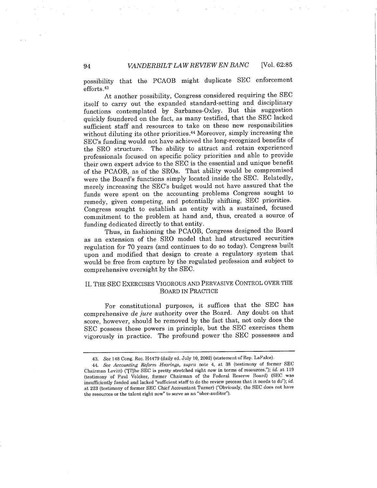possibility that the PCAOB might duplicate SEC enforcement efforts.43

At another possibility, Congress considered requiring the SEC itself to carry out the expanded standard-setting and disciplinary functions contemplated by Sarbanes-Oxley. But this suggestion quickly foundered on the fact, as many testified, that the SEC lacked sufficient staff and resources to take on these new responsibilities without diluting its other priorities.44 Moreover, simply increasing the SEC's funding would not have achieved the long-recognized benefits of the SRO structure. The ability to attract and retain experienced professionals focused on specific policy priorities and able to provide their own expert advice to the SEC is the essential and unique benefit of the PCAOB, as of the SROs. That ability would be compromised were the Board's functions simply located inside the SEC. Relatedly, merely increasing the SEC's budget would not have assured that the funds were spent on the accounting problems Congress sought to remedy, given competing, and potentially shifting, SEC priorities. Congress sought to establish an entity with a sustained, focused commitment to the problem at hand and, thus, created a source of funding dedicated directly to that entity.

Thus, in fashioning the PCAOB, Congress designed the Board as an extension of the SRO model that had structured securities regulation for 70 years (and continues to do so today). Congress built upon and modified that design to create a regulatory system that would be free from capture by the regulated profession and subject to comprehensive oversight by the SEC.

#### II. THE SEC EXERCISES VIGOROUS AND PERVASIVE CONTROL OVER THE BOARD IN PRACTICE

For constitutional purposes, it suffices that the SEC has comprehensive de jure authority over the Board. Any doubt on that score, however, should be removed by the fact that, not only does the SEC possess these powers in principle, but the SEC exercises them vigorously in practice. The profound power the SEC possesses and

<sup>43.</sup> See 148 Cong. Rec. H4479 (daily ed. July 10, 2002) (statement of Rep. LaFalce).

<sup>44.</sup> See Accounting Reform Hearings, supra note 4, at 38 (testimony of former SEC Chairman Levitt) ("(T)he SEC is pretty stretched right now in terms of resources."); id. at 119 (testimony of Paul Volcker, former Chairman of the Federal Reserve Board) (SEC was insufficiently funded and lacked "sufficient staff to do the review process that it needs to do"); id. at 223 (testimony of former SEC Chief Accountant Turner) ("Obviously, the SEC does not have the resources or the talent right now" to serve as an "uber-auditor").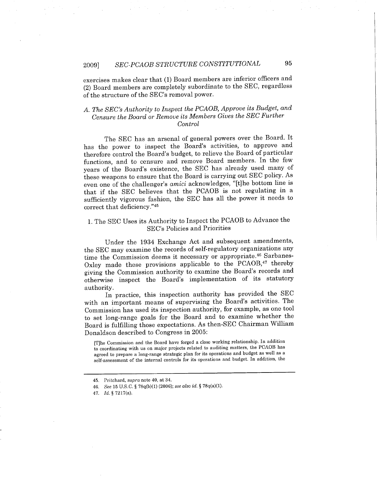exercises makes clear that (1) Board members are inferior officers and (2) Board members are completely subordinate to the SEC, regardless of the structure of the SEC's removal power.

#### A. The SEC's Authority to Inspect the PCAOB, Approve its Budget, and Censure the Board or Remove its Members Gives the SEC Further Control

The SEC has an arsenal of general powers over the Board. It has the power to inspect the Board's activities, to approve and therefore control the Board's budget, to relieve the Board of particular functions, and to censure and remove Board members. In the few years of the Board's existence, the SEC has already used many of these weapons to ensure that the Board is carrying out SEC policy. As even one of the challenger's amici acknowledges, "(t)he bottom line is that if the SEC believes that the PCAOB is not regulating in a sufficiently vigorous fashion, the SEC has all the power it needs to correct that deficiency."45

#### 1. The SEC Uses its Authority to Inspect the PCAOB to Advance the SEC's Policies and Priorities

Under the 1934 Exchange Act and subsequent amendments, the SEC may examine the records of self-regulatory organizations any time the Commission deems it necessary or appropriate.46 Sarbanes-Oxley made these provisions applicable to the PCAOB,<sup>47</sup> thereby giving the Commission authority to examine the Board's records and otherwise inspect the Board's implementation of its statutory authority.

In practice, this inspection authority has provided the SEC with an important means of supervising the Board's activities. The Commission has used its inspection authority, for example, as one tool to set long-range goals for the Board and to examine whether the Board is fulfiling those expectations. As then-SEC Chairman Wiliam Donaldson described to Congress in 2005:

(T)he Commission and the Board have forged a close working relationship. In addition to coordinating with us on major projects related to auditing matters, the PCAOB has agreed to prepare a long-range strategic plan for its operations and budget as well as a self-assessment of the internal controls for its operations and budget. In addition, the

<sup>45.</sup> Pritchard, supra note 40, at 34.

<sup>46.</sup> See 15 U.S.C. § 78q(b)(l) (2006); see also id. § 78q(a)(1).

<sup>47.</sup> Id. § 7217(a).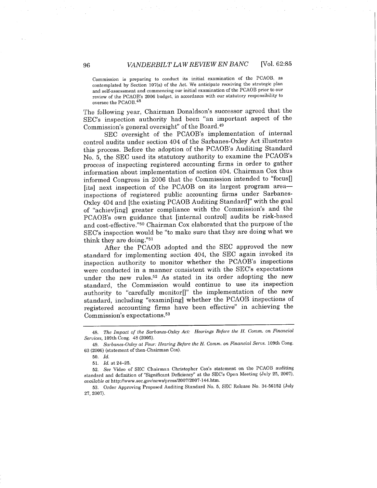Commission is preparing to conduct its initial examination of the PCAOB, as contemplated by Section 107(a) of the Act. We anticipate receiving the strategic plan and self-assessment and commencing our initial examination of the PCAOB prior to our review of the PCAOB's 2006 budget. in accordance with our statutory responsibility to oversee the PCAOB.48

The following year, Chairman Donaldson's successor agreed that the SEC's inspection authority had been "an important aspect of the Commission's general oversight" of the Board.49

SEC oversight of the PCAOB's implementation of internal control audits under section 404 of the Sarbanes-Oxley Act ilustrates this process. Before the adoption of the PCAOB's Auditing Standard No.5, the SEC used its statutory authority to examine the PCAOB's process of inspecting registered accounting firms in order to gather information about implementation of section 404. Chairman Cox thus informed Congress in 2006 that the Commission intended to "focus[] [its] next inspection of the PCAOB on its largest program areainspections of registered public accounting firms under Sarbanes-Oxley 404 and (the existing PCAOB Auditing Standard)" with the goal of "achiev(ing) greater compliance with the Commission's and the PCAOB's own guidance that (internal control) audits be risk-based and cost-effective."5o Chairman Cox elaborated that the purpose of the SEC's inspection would be "to make sure that they are doing what we think they are doing."51

After the PCAOB adopted and the SEC approved the new standard for implementing section 404, the SEC again invoked its inspection authority to monitor whether the PCAOB's inspections were conducted in a manner consistent with the SEC's expectations under the new rules.52 As stated in its order adopting the new standard, the Commission would continue to use its inspection authority to "carefully monitor $\mathbb{I}$ " the implementation of the new standard, including "examin(ing) whether the PCAOB inspections of registered accounting firms have been effective" in achieving the Commission's expectations.<sup>53</sup>

<sup>48.</sup> The Impact of the Sarbanes-Oxley Act: Hearings Before the H. Comni. on Financial Services, 109th Cong. 48 (2005).

<sup>49.</sup> Sarbanes-Oxley at Four: Hearing Before the H. Comm. on Financial Servs. 109th Cong. 63 (2006) (statement of then. Chairman Cox).

<sup>50.</sup> Id.

<sup>51.</sup> Id. at 24-25.

<sup>52.</sup> See Video of SEC Chairman Christopher Cox's statement on the PCAOB auditing standard and definition of "Significant Deficiency" at the SEC's Open Meeting (July 25, 2007), available at http://www.sec.gov/news/press/2007/2007-144.htm.

<sup>53.</sup> Order Approving Proposed Auditing Standard No.5, SEC Release No. 34.56152 (July 27,2007).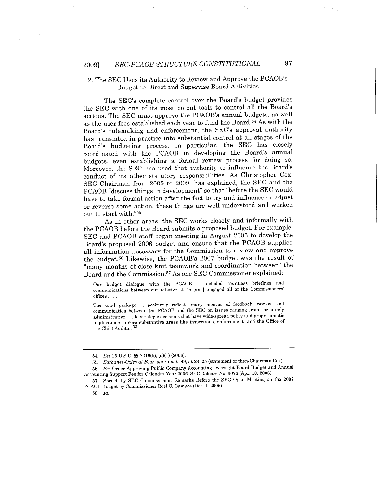#### 2. The SEC Uses its Authority to Review and Approve the PCAOB's Budget to Direct and Supervise Board Activities

The SEC's complete control over the Board's budget provides the SEC with one of its most potent tools to control all the Board's actions. The SEC must approve the PCAOB's annual budgets, as well as the user fees established each year to fund the Board.54 As with the Board's rulemaking and enforcement, the SEC's approval authority has translated in practice into substantial control at all stages of the Board's budgeting process. In particular, the SEC has closely coordinated with the PCAOB in developing the Board's annual budgets, even establishing a formal review process for doing so. Moreover, the SEC has used that authority to influence the Board's conduct of its other statutory responsibilities. As Christopher Cox, SEC Chairman from 2005 to 2009, has explained, the SEC and the PCAOB "discuss things in development" so that "before the SEC would have to take formal action after the fact to try and influence or adjust or reverse some action, these things are well understood and worked out to start with."55

As in other areas, the SEC works closely and informally with the PCAOB before the Board submits a proposed budget. For example, SEC and PCAOB staff began meeting in August 2005 to develop the Board's proposed 2006 budget and ensure that the PCAOB supplied all information necessary for the Commission to review and approve the budget. 56 Likewise, the PCAOB's 2007 budget was the result of "many months of close-knit teamwork and coordination between" the Board and the Commission. 57 As one SEC Commissioner explained:

Our budget dialogue with the PCAOB... included countless briefings and communications between our relative staffs (and) engaged all of the Commissioners' offices. . . .

The total package... positively reflects many months of feedback. review, and communication between the PCAOB and the SEC on issues ranging from the purely administrative. . . to strategic decisions that have wide-spread policy and programmatic implications in core substantive areas like inspections, enforcement, and the Office of the Chief Auditor. 58

<sup>54.</sup> See 15 U.s.C. §§ 7219(b), (d)(l) (2006).

<sup>55.</sup> Sarbanes-Oxley at Four, supra note 49, at 24-25 (statement of then-Chairman Cox).

<sup>56.</sup> See Order Approving Public Company Accounting Oversight Board Budget and Annual Accounting Support Fee for Calendar Year 2006, SEC Release No. 8676 (Apr. 13, 2006).

<sup>57.</sup> Speech by SEC Commissioner: Remarks Before the SEC Open Meeting on the 2007 PCAOB Budget by Commissioner Roel C. Campos (Dec. 4, 2006).

<sup>58.</sup> Id.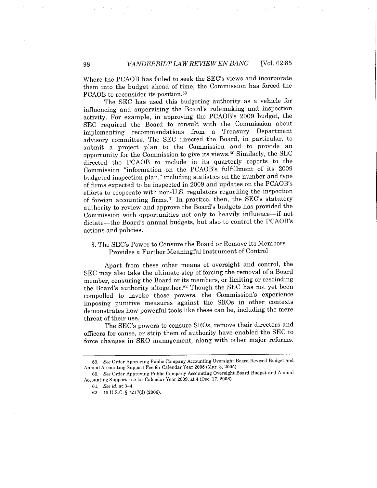Where the PCAOB has failed to seek the SEC's views and incorporate them into the budget ahead of time, the Commission has forced the PCAOB to reconsider its position.59

The SEC has used this budgeting authority as a vehicle for influencing and supervising the Board's rulemaking and inspection activity. For example, in approving the PCAOB's 2009 budget, the SEC required the Board to consult with the Commission about implementing recommendations from a Treasury Department advisory committee. The SEC directed the Board, in particular, to submit a project plan to the Commission and to provide an opportunity for the Commission to give its views.60 Similarly, the SEC directed the PCAOB to include in its quarterly reports to the Commission "information on the PCAOB's fulfilment of its 2009 budgeted inspection plan," including statistics on the number and type of firms expected to be inspected in 2009 and updates on the PCAOB's efforts to cooperate with non-U.S. regulators regarding the inspection of foreign accounting firms.61 In practice, then, the SEC's statutory authority to review and approve the Board's budgets has provided the Commission with opportunities not only to heavily influence-if not dictate-the Board's annual budgets, but also to control the PCAOB's actions and policies.

#### 3. The SEC's Power to Censure the Board or Remove its Members Provides a Further Meaningful Instrument of Control

Apart from these other means of oversight and control, the SEC may also take the ultimate step of forcing the removal of a Board member, censuring the Board or its members, or limiting or rescinding the Board's authority altogether.62 Though the SEC has not yet been compelled to invoke those powers, the Commission's experience imposing punitive measures against the SROs in other contexts demonstrates how powerful tools like these can be, including the mere threat of their use.

The SEC's powers to censure SROs, remove their directors and officers for cause, or strip them of authority have enabled the SEC to force changes in SRO management, along with other major reforms.

<sup>59.</sup> See Order Approving Public Company Accounting Oversight Board Revised Budget and Annual Accounting Support Fee for Calendar Year 2005 (Mar. 3, 2005).

<sup>60.</sup> See Order Approving Public Company Accounting Oversight Board Budget and Annual Accounting Support Fee for Calendar Year 2009. at 4 (Dec. 17. 2008).

<sup>61.</sup> See id. at 3-4.

<sup>62. 15</sup> U.S.C. § 7217(d) (2006).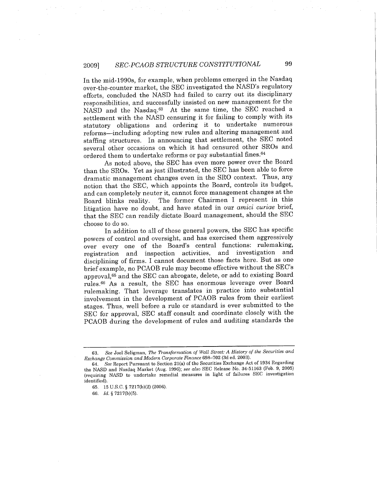#### 2009) SEC.PCAOB STRUCTURE CONSTITUTIONAL 99

In the mid-1990s, for example, when problems emerged in the Nasdaq over-the-counter market, the SEC investigated the NASD's regulatory efforts, concluded the NASD had failed to carry out its disciplinary responsibilities, and successfully insisted on new management for the NASD and the Nasdaq.63 At the same time, the SEC reached a settlement with the NASD censuring it for failing to comply with its statutory obligations and ordering it to undertake numerous reforms-including adopting new rules and altering management and staffng structures. In announcing that settlement, the SEC noted several other occasions on which it had censured other SROs and ordered them to undertake reforms or pay substantial fines.64

As noted above, the SEC has even more power over the Board than the SROs. Yet as just ilustrated, the SEC has been able to force dramatic management changes even in the SRO context. Thus, any notion that the SEC, which appoints the Board, controls its budget, and can completely neuter it, cannot force management changes at the Board blinks reality. The former Chairmen I represent in this litigation have no doubt, and have stated in our amici curiae brief, that the SEC can readily dictate Board management, should the SEC choose to do so.

In addition to all of these general powers, the SEC has specific powers of control and oversight, and has exercised them aggressively over every one of the Board's central functions: rulemaking, registration and inspection activities, and investigation and disciplining of firms. I cannot document those facts here. But as one brief example, no PCAOB rule may become effective without the SEC's approval,65 and the SEC can abrogate, delete, or add to existing Board rules.66 As a result, the SEC has enormous leverage over Board rulemaking. That leverage translates in practice into substantial involvement in the development of PCAOB rules from their earliest stages. Thus, well before a rule or standard is ever submitted to the SEC for approval, SEC staff consult and coordinate closely with the PCAOB during the development of rules and auditing standards the

<sup>63.</sup> See Joel Seligman. The Transformation of Wall Street: A History of the Securities and Exchange Commission and Modern Corporate Finance 698-702 (3d ed. 2003).

<sup>64.</sup> See Report Pursuant to Section 21(a) of the Securities Exchange Act of 1934 Regarding the NASD and Nasdaq Market (Aug. 1996); see also SEC Release No. 34.51163 (Feb. 9, 2005) (requiring NASD to undertake remedial measures in light of failures SEC investigation identified).

<sup>65. 15</sup> U.s.C. § 7217(b)(2) (2006).

<sup>66.</sup> Id. § 7217(b)(5).